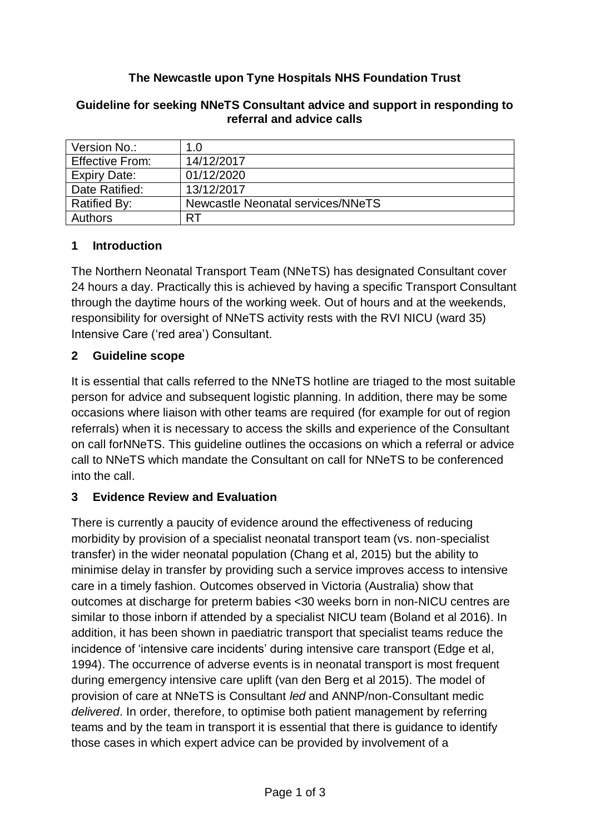## **The Newcastle upon Tyne Hospitals NHS Foundation Trust**

| Version No.:           | 1.0                               |
|------------------------|-----------------------------------|
| <b>Effective From:</b> | 14/12/2017                        |
| <b>Expiry Date:</b>    | 01/12/2020                        |
| Date Ratified:         | 13/12/2017                        |
| <b>Ratified By:</b>    | Newcastle Neonatal services/NNeTS |
| <b>Authors</b>         | RT                                |

#### **Guideline for seeking NNeTS Consultant advice and support in responding to referral and advice calls**

## **1 Introduction**

The Northern Neonatal Transport Team (NNeTS) has designated Consultant cover 24 hours a day. Practically this is achieved by having a specific Transport Consultant through the daytime hours of the working week. Out of hours and at the weekends, responsibility for oversight of NNeTS activity rests with the RVI NICU (ward 35) Intensive Care ('red area') Consultant.

## **2 Guideline scope**

It is essential that calls referred to the NNeTS hotline are triaged to the most suitable person for advice and subsequent logistic planning. In addition, there may be some occasions where liaison with other teams are required (for example for out of region referrals) when it is necessary to access the skills and experience of the Consultant on call forNNeTS. This guideline outlines the occasions on which a referral or advice call to NNeTS which mandate the Consultant on call for NNeTS to be conferenced into the call.

## **3 Evidence Review and Evaluation**

There is currently a paucity of evidence around the effectiveness of reducing morbidity by provision of a specialist neonatal transport team (vs. non-specialist transfer) in the wider neonatal population (Chang et al, 2015) but the ability to minimise delay in transfer by providing such a service improves access to intensive care in a timely fashion. Outcomes observed in Victoria (Australia) show that outcomes at discharge for preterm babies <30 weeks born in non-NICU centres are similar to those inborn if attended by a specialist NICU team (Boland et al 2016). In addition, it has been shown in paediatric transport that specialist teams reduce the incidence of 'intensive care incidents' during intensive care transport (Edge et al, 1994). The occurrence of adverse events is in neonatal transport is most frequent during emergency intensive care uplift (van den Berg et al 2015). The model of provision of care at NNeTS is Consultant *led* and ANNP/non-Consultant medic *delivered*. In order, therefore, to optimise both patient management by referring teams and by the team in transport it is essential that there is guidance to identify those cases in which expert advice can be provided by involvement of a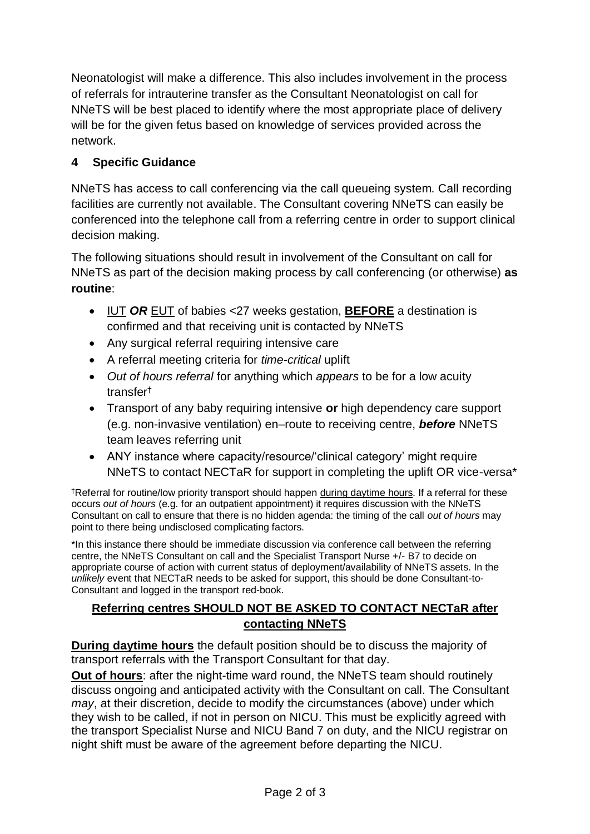Neonatologist will make a difference. This also includes involvement in the process of referrals for intrauterine transfer as the Consultant Neonatologist on call for NNeTS will be best placed to identify where the most appropriate place of delivery will be for the given fetus based on knowledge of services provided across the network.

# **4 Specific Guidance**

NNeTS has access to call conferencing via the call queueing system. Call recording facilities are currently not available. The Consultant covering NNeTS can easily be conferenced into the telephone call from a referring centre in order to support clinical decision making.

The following situations should result in involvement of the Consultant on call for NNeTS as part of the decision making process by call conferencing (or otherwise) **as routine**:

- IUT *OR* EUT of babies <27 weeks gestation, **BEFORE** a destination is confirmed and that receiving unit is contacted by NNeTS
- Any surgical referral requiring intensive care
- A referral meeting criteria for *time-critical* uplift
- *Out of hours referral* for anything which *appears* to be for a low acuity transfer†
- Transport of any baby requiring intensive **or** high dependency care support (e.g. non-invasive ventilation) en–route to receiving centre, *before* NNeTS team leaves referring unit
- ANY instance where capacity/resource/'clinical category' might require NNeTS to contact NECTaR for support in completing the uplift OR vice-versa\*

†Referral for routine/low priority transport should happen during daytime hours. If a referral for these occurs *out of hours* (e.g. for an outpatient appointment) it requires discussion with the NNeTS Consultant on call to ensure that there is no hidden agenda: the timing of the call *out of hours* may point to there being undisclosed complicating factors.

\*In this instance there should be immediate discussion via conference call between the referring centre, the NNeTS Consultant on call and the Specialist Transport Nurse +/- B7 to decide on appropriate course of action with current status of deployment/availability of NNeTS assets. In the *unlikely* event that NECTaR needs to be asked for support, this should be done Consultant-to-Consultant and logged in the transport red-book.

## **Referring centres SHOULD NOT BE ASKED TO CONTACT NECTaR after contacting NNeTS**

**During daytime hours** the default position should be to discuss the majority of transport referrals with the Transport Consultant for that day.

**Out of hours**: after the night-time ward round, the NNeTS team should routinely discuss ongoing and anticipated activity with the Consultant on call. The Consultant *may*, at their discretion, decide to modify the circumstances (above) under which they wish to be called, if not in person on NICU. This must be explicitly agreed with the transport Specialist Nurse and NICU Band 7 on duty, and the NICU registrar on night shift must be aware of the agreement before departing the NICU.